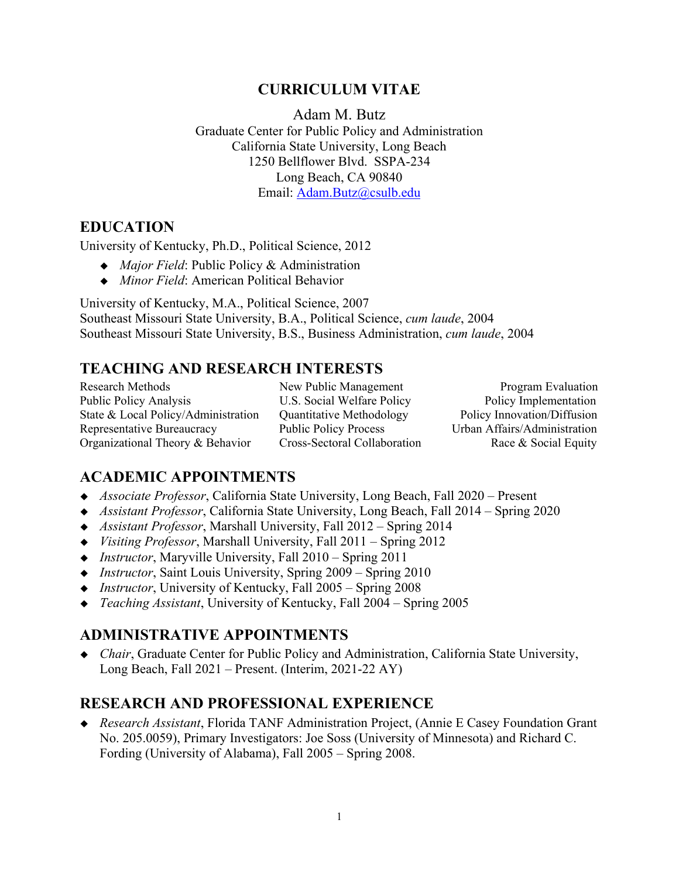## **CURRICULUM VITAE**

Adam M. Butz Graduate Center for Public Policy and Administration California State University, Long Beach 1250 Bellflower Blvd. SSPA-234 Long Beach, CA 90840 Email: [Adam.Butz@csulb.edu](mailto:Adam.Butz@csulb.edu)

## **EDUCATION**

University of Kentucky, Ph.D., Political Science, 2012

- ◆ *Major Field*: Public Policy & Administration
- *Minor Field*: American Political Behavior

University of Kentucky, M.A., Political Science, 2007 Southeast Missouri State University, B.A., Political Science, *cum laude*, 2004 Southeast Missouri State University, B.S., Business Administration, *cum laude*, 2004

## **TEACHING AND RESEARCH INTERESTS**

Research Methods New Public Management Program Evaluation Public Policy Analysis U.S. Social Welfare Policy Policy Implementation State & Local Policy/Administration Quantitative Methodology Policy Innovation/Diffusion Representative Bureaucracy Public Policy Process Urban Affairs/Administration Organizational Theory & Behavior Cross-Sectoral Collaboration Race & Social Equity

## **ACADEMIC APPOINTMENTS**

- *Associate Professor*, California State University, Long Beach, Fall 2020 Present
- *Assistant Professor*, California State University, Long Beach, Fall 2014 Spring 2020
- *Assistant Professor*, Marshall University, Fall 2012 Spring 2014
- *Visiting Professor*, Marshall University, Fall 2011 Spring 2012
- *Instructor*, Maryville University, Fall 2010 Spring 2011
- *Instructor*, Saint Louis University, Spring 2009 Spring 2010
- *Instructor*, University of Kentucky, Fall 2005 Spring 2008
- *Teaching Assistant*, University of Kentucky, Fall 2004 Spring 2005

# **ADMINISTRATIVE APPOINTMENTS**

◆ *Chair*, Graduate Center for Public Policy and Administration, California State University, Long Beach, Fall 2021 – Present. (Interim, 2021-22 AY)

## **RESEARCH AND PROFESSIONAL EXPERIENCE**

 *Research Assistant*, Florida TANF Administration Project, (Annie E Casey Foundation Grant No. 205.0059), Primary Investigators: Joe Soss (University of Minnesota) and Richard C. Fording (University of Alabama), Fall 2005 – Spring 2008.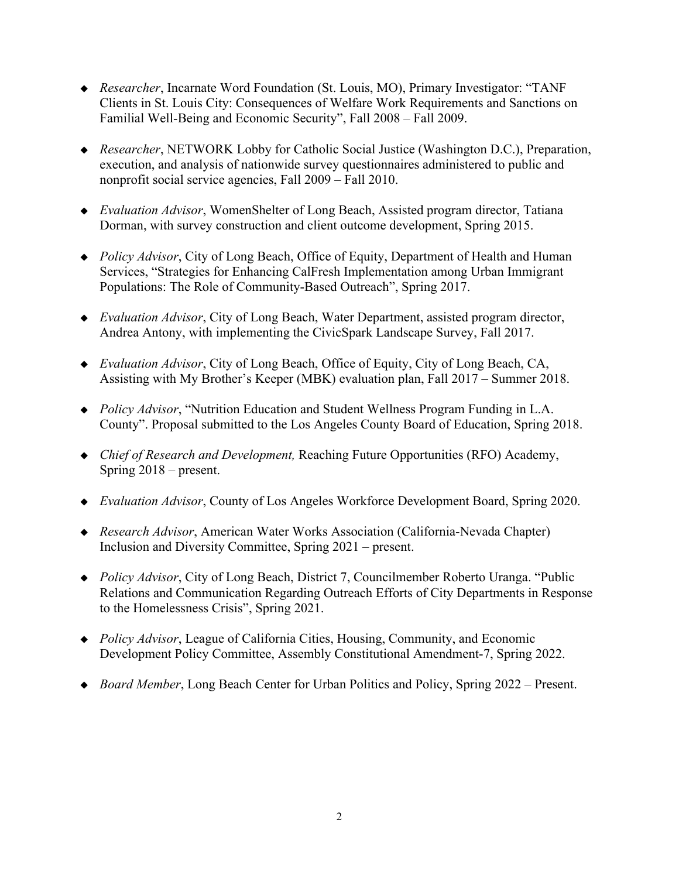- *Researcher*, Incarnate Word Foundation (St. Louis, MO), Primary Investigator: "TANF Clients in St. Louis City: Consequences of Welfare Work Requirements and Sanctions on Familial Well-Being and Economic Security", Fall 2008 – Fall 2009.
- *Researcher*, NETWORK Lobby for Catholic Social Justice (Washington D.C.), Preparation, execution, and analysis of nationwide survey questionnaires administered to public and nonprofit social service agencies, Fall 2009 – Fall 2010.
- *Evaluation Advisor*, WomenShelter of Long Beach, Assisted program director, Tatiana Dorman, with survey construction and client outcome development, Spring 2015.
- ◆ *Policy Advisor*, City of Long Beach, Office of Equity, Department of Health and Human Services, "Strategies for Enhancing CalFresh Implementation among Urban Immigrant Populations: The Role of Community-Based Outreach", Spring 2017.
- *Evaluation Advisor*, City of Long Beach, Water Department, assisted program director, Andrea Antony, with implementing the CivicSpark Landscape Survey, Fall 2017.
- *Evaluation Advisor*, City of Long Beach, Office of Equity, City of Long Beach, CA, Assisting with My Brother's Keeper (MBK) evaluation plan, Fall 2017 – Summer 2018.
- ◆ *Policy Advisor*, "Nutrition Education and Student Wellness Program Funding in L.A. County". Proposal submitted to the Los Angeles County Board of Education, Spring 2018.
- *Chief of Research and Development,* Reaching Future Opportunities (RFO) Academy, Spring 2018 – present.
- *Evaluation Advisor*, County of Los Angeles Workforce Development Board, Spring 2020.
- *Research Advisor*, American Water Works Association (California-Nevada Chapter) Inclusion and Diversity Committee, Spring 2021 – present.
- ◆ *Policy Advisor*, City of Long Beach, District 7, Councilmember Roberto Uranga. "Public Relations and Communication Regarding Outreach Efforts of City Departments in Response to the Homelessness Crisis", Spring 2021.
- ◆ *Policy Advisor*, League of California Cities, Housing, Community, and Economic Development Policy Committee, Assembly Constitutional Amendment-7, Spring 2022.
- ◆ *Board Member*, Long Beach Center for Urban Politics and Policy, Spring 2022 Present.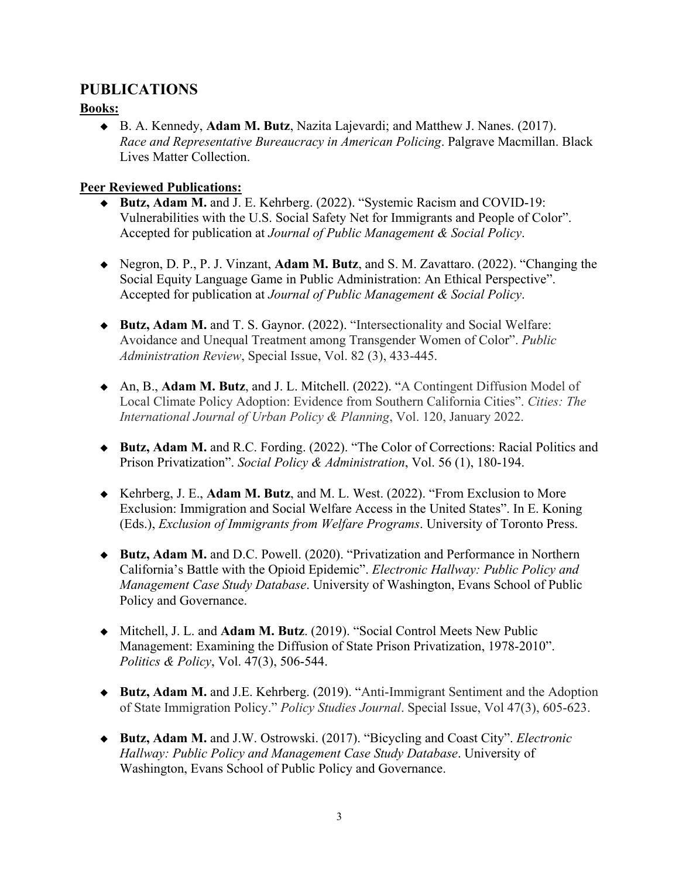## **PUBLICATIONS**

#### **Books:**

 B. A. Kennedy, **Adam M. Butz**, Nazita Lajevardi; and Matthew J. Nanes. (2017). *Race and Representative Bureaucracy in American Policing*. Palgrave Macmillan. Black Lives Matter Collection.

#### **Peer Reviewed Publications:**

- ◆ Butz, Adam M. and J. E. Kehrberg. (2022). "Systemic Racism and [COVID-19:](https://digitalscholarship.tsu.edu/cgi/preview.cgi?article=1141&context=jpmsp) [Vulnerabilities](https://digitalscholarship.tsu.edu/cgi/preview.cgi?article=1141&context=jpmsp) with the U.S. Social Safety Net for Immigrants and People of Color". Accepted for publication at *Journal of Public Management & Social Policy*.
- Negron, D. P., P. J. Vinzant, **Adam M. Butz**, and S. M. Zavattaro. (2022). ["Changing](https://digitalscholarship.tsu.edu/cgi/preview.cgi?article=1151&context=jpmsp) the Social Equity Language Game in Public [Administration:](https://digitalscholarship.tsu.edu/cgi/preview.cgi?article=1151&context=jpmsp) An Ethical Perspective". Accepted for publication at *Journal of Public Management & Social Policy*.
- **Butz, Adam M.** and T. S. Gaynor. (2022). "Intersectionality and Social Welfare: Avoidance and Unequal Treatment among Transgender Women of Color". *Public Administration Review*, Special Issue, Vol. 82 (3), 433-445.
- An, B., **Adam M. Butz**, and J. L. Mitchell. (2022). "A Contingent Diffusion Model of Local Climate Policy Adoption: Evidence from Southern California Cities". *Cities: The International Journal of Urban Policy & Planning*, Vol. 120, January 2022.
- **Butz, Adam M.** and R.C. Fording. (2022). "The Color of Corrections: Racial Politics and Prison Privatization". *Social Policy & Administration*, Vol. 56 (1), 180-194.
- Kehrberg, J. E., **Adam M. Butz**, and M. L. West. (2022). "From Exclusion to More Exclusion: Immigration and Social Welfare Access in the United States". In E. Koning (Eds.), *Exclusion of Immigrants from Welfare Programs*. University of Toronto Press.
- **Butz, Adam M.** and D.C. Powell. (2020). "Privatization and Performance in Northern California's Battle with the Opioid Epidemic". *Electronic Hallway: Public Policy and Management Case Study Database*. University of Washington, Evans School of Public Policy and Governance.
- Mitchell, J. L. and **Adam M. Butz**. (2019). "Social Control Meets New Public Management: Examining the Diffusion of State Prison Privatization, 1978-2010". *Politics & Policy*, Vol. 47(3), 506-544.
- ◆ Butz, Adam M. and J.E. Kehrberg. (2019). "Anti-Immigrant Sentiment and the Adoption of State Immigration Policy." *Policy Studies Journal*. Special Issue, Vol 47(3), 605-623.
- **Butz, Adam M.** and J.W. Ostrowski. (2017). "Bicycling and Coast City". *Electronic Hallway: Public Policy and Management Case Study Database*. University of Washington, Evans School of Public Policy and Governance.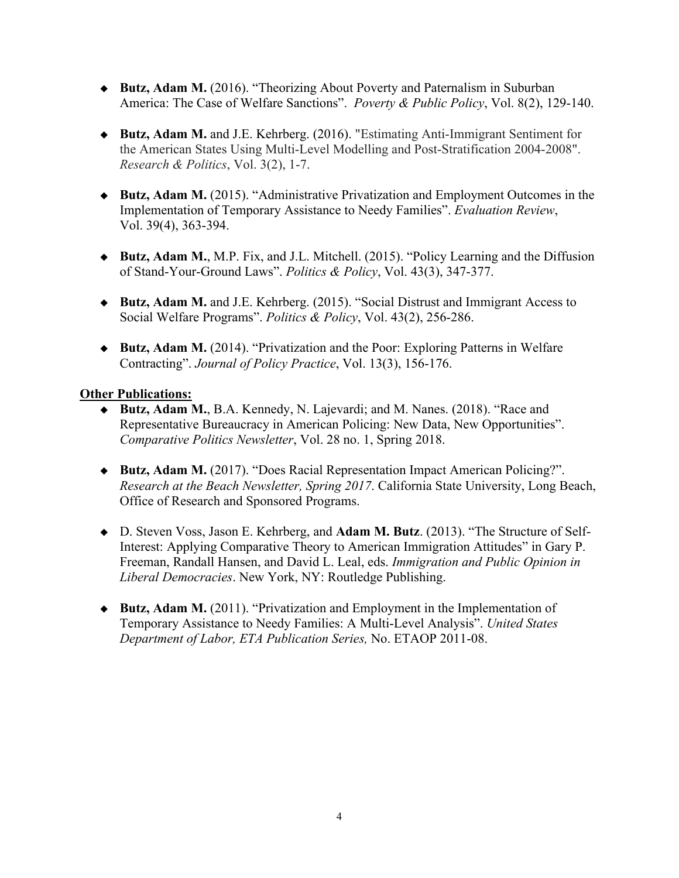- **Butz, Adam M.** (2016). "Theorizing About Poverty and Paternalism in Suburban America: The Case of Welfare Sanctions". *Poverty & Public Policy*, Vol. 8(2), 129-140.
- **Butz, Adam M.** and J.E. Kehrberg. (2016). "Estimating Anti-Immigrant Sentiment for the American States Using Multi-Level Modelling and Post-Stratification 2004-2008". *Research & Politics*, Vol. 3(2), 1-7.
- **Butz, Adam M.** (2015). "Administrative Privatization and Employment Outcomes in the Implementation of Temporary Assistance to Needy Families". *Evaluation Review*, Vol. 39(4), 363-394.
- **Butz, Adam M.**, M.P. Fix, and J.L. Mitchell. (2015). "Policy Learning and the Diffusion of Stand-Your-Ground Laws". *Politics & Policy*, Vol. 43(3), 347-377.
- ◆ Butz, Adam M. and J.E. Kehrberg. (2015). "Social Distrust and Immigrant Access to Social Welfare Programs". *Politics & Policy*, Vol. 43(2), 256-286.
- **Butz, Adam M.** (2014). "Privatization and the Poor: Exploring Patterns in Welfare Contracting". *Journal of Policy Practice*, Vol. 13(3), 156-176.

#### **Other Publications:**

- **Butz, Adam M.**, B.A. Kennedy, N. Lajevardi; and M. Nanes. (2018). "Race and Representative Bureaucracy in American Policing: New Data, New Opportunities". *Comparative Politics Newsletter*, Vol. 28 no. 1, Spring 2018.
- **Butz, Adam M.** (2017). "Does Racial Representation Impact American Policing?". *Research at the Beach Newsletter, Spring 2017*. California State University, Long Beach, Office of Research and Sponsored Programs.
- D. Steven Voss, Jason E. Kehrberg, and **Adam M. Butz**. (2013). "The Structure of Self-Interest: Applying Comparative Theory to American Immigration Attitudes" in Gary P. Freeman, Randall Hansen, and David L. Leal, eds. *Immigration and Public Opinion in Liberal Democracies*. New York, NY: Routledge Publishing.
- **Butz, Adam M.** (2011). "Privatization and Employment in the Implementation of Temporary Assistance to Needy Families: A Multi-Level Analysis". *United States Department of Labor, ETA Publication Series,* No. ETAOP 2011-08.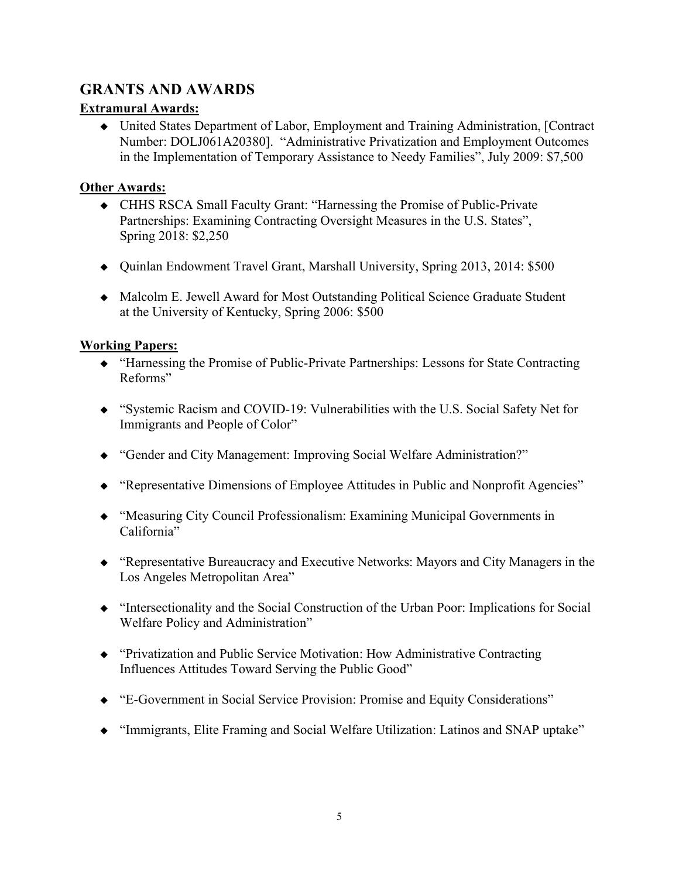## **GRANTS AND AWARDS**

#### **Extramural Awards:**

 United States Department of Labor, Employment and Training Administration, [Contract Number: DOLJ061A20380]. "Administrative Privatization and Employment Outcomes in the Implementation of Temporary Assistance to Needy Families", July 2009: \$7,500

#### **Other Awards:**

- CHHS RSCA Small Faculty Grant: "Harnessing the Promise of Public-Private Partnerships: Examining Contracting Oversight Measures in the U.S. States", Spring 2018: \$2,250
- Quinlan Endowment Travel Grant, Marshall University, Spring 2013, 2014: \$500
- Malcolm E. Jewell Award for Most Outstanding Political Science Graduate Student at the University of Kentucky, Spring 2006: \$500

#### **Working Papers:**

- "Harnessing the Promise of Public-Private Partnerships: Lessons for State Contracting Reforms"
- "Systemic Racism and COVID-19: [Vulnerabilities](https://digitalscholarship.tsu.edu/cgi/preview.cgi?article=1141&context=jpmsp) with the U.S. Social Safety Net for [Immigrants](https://digitalscholarship.tsu.edu/cgi/preview.cgi?article=1141&context=jpmsp) and People of Color"
- "Gender and City Management: Improving Social Welfare Administration?"
- "Representative Dimensions of Employee Attitudes in Public and Nonprofit Agencies"
- "Measuring City Council Professionalism: Examining Municipal Governments in California"
- "Representative Bureaucracy and Executive Networks: Mayors and City Managers in the Los Angeles Metropolitan Area"
- "Intersectionality and the Social Construction of the Urban Poor: Implications for Social Welfare Policy and Administration"
- "Privatization and Public Service Motivation: How Administrative Contracting Influences Attitudes Toward Serving the Public Good"
- "E-Government in Social Service Provision: Promise and Equity Considerations"
- "Immigrants, Elite Framing and Social Welfare Utilization: Latinos and SNAP uptake"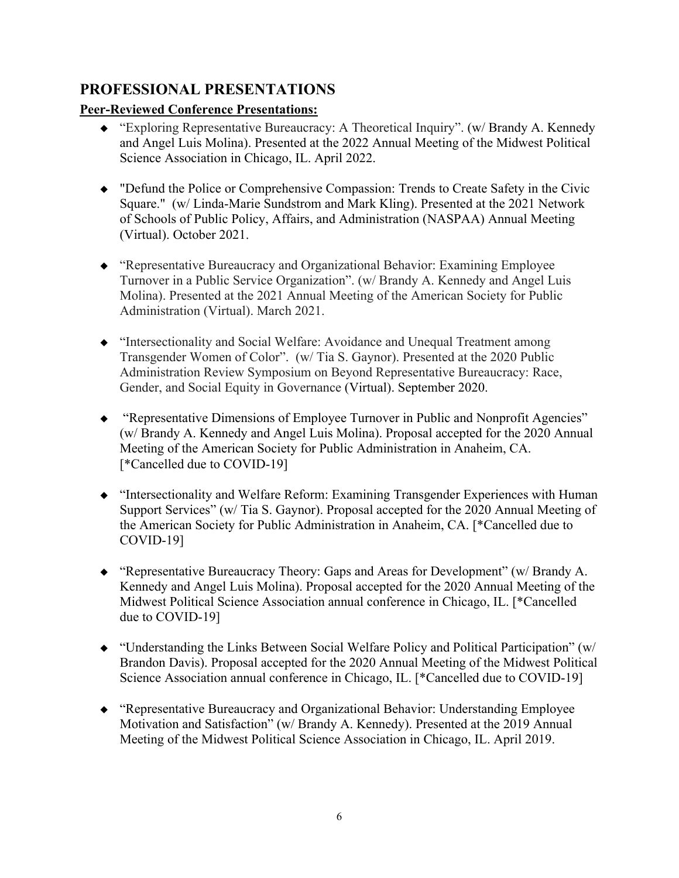## **PROFESSIONAL PRESENTATIONS**

### **Peer-Reviewed Conference Presentations:**

- "Exploring Representative Bureaucracy: A Theoretical Inquiry". (w/ Brandy A. Kennedy and Angel Luis Molina). Presented at the 2022 Annual Meeting of the Midwest Political Science Association in Chicago, IL. April 2022.
- "Defund the Police or Comprehensive Compassion: Trends to Create Safety in the Civic Square." (w/ Linda-Marie Sundstrom and Mark Kling). Presented at the 2021 Network of Schools of Public Policy, Affairs, and Administration (NASPAA) Annual Meeting (Virtual). October 2021.
- "Representative Bureaucracy and Organizational Behavior: Examining Employee Turnover in a Public Service Organization". (w/ Brandy A. Kennedy and Angel Luis Molina). Presented at the 2021 Annual Meeting of the American Society for Public Administration (Virtual). March 2021.
- "Intersectionality and Social Welfare: Avoidance and Unequal Treatment among Transgender Women of Color". (w/ Tia S. Gaynor). Presented at the 2020 Public Administration Review Symposium on Beyond Representative Bureaucracy: Race, Gender, and Social Equity in Governance (Virtual). September 2020.
- "Representative Dimensions of Employee Turnover in Public and Nonprofit Agencies" (w/ Brandy A. Kennedy and Angel Luis Molina). Proposal accepted for the 2020 Annual Meeting of the American Society for Public Administration in Anaheim, CA. [\*Cancelled due to COVID-19]
- "Intersectionality and Welfare Reform: Examining Transgender Experiences with Human Support Services" (w/ Tia S. Gaynor). Proposal accepted for the 2020 Annual Meeting of the American Society for Public Administration in Anaheim, CA. [\*Cancelled due to COVID-19]
- "Representative Bureaucracy Theory: Gaps and Areas for Development" (w/ Brandy A. Kennedy and Angel Luis Molina). Proposal accepted for the 2020 Annual Meeting of the Midwest Political Science Association annual conference in Chicago, IL. [\*Cancelled due to COVID-19]
- "Understanding the Links Between Social Welfare Policy and Political Participation" (w/ Brandon Davis). Proposal accepted for the 2020 Annual Meeting of the Midwest Political Science Association annual conference in Chicago, IL. [\*Cancelled due to COVID-19]
- "Representative Bureaucracy and Organizational Behavior: Understanding Employee Motivation and Satisfaction" (w/ Brandy A. Kennedy). Presented at the 2019 Annual Meeting of the Midwest Political Science Association in Chicago, IL. April 2019.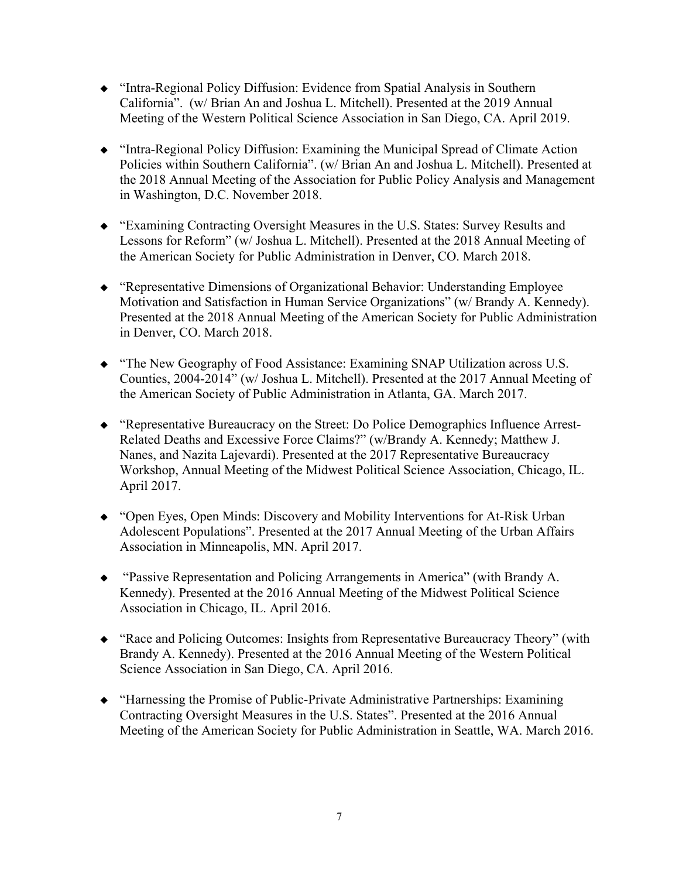- "Intra-Regional Policy Diffusion: Evidence from Spatial Analysis in Southern California". (w/ Brian An and Joshua L. Mitchell). Presented at the 2019 Annual Meeting of the Western Political Science Association in San Diego, CA. April 2019.
- "Intra-Regional Policy Diffusion: Examining the Municipal Spread of Climate Action Policies within Southern California". (w/ Brian An and Joshua L. Mitchell). Presented at the 2018 Annual Meeting of the Association for Public Policy Analysis and Management in Washington, D.C. November 2018.
- "Examining Contracting Oversight Measures in the U.S. States: Survey Results and Lessons for Reform" (w/ Joshua L. Mitchell). Presented at the 2018 Annual Meeting of the American Society for Public Administration in Denver, CO. March 2018.
- "Representative Dimensions of Organizational Behavior: Understanding Employee Motivation and Satisfaction in Human Service Organizations" (w/ Brandy A. Kennedy). Presented at the 2018 Annual Meeting of the American Society for Public Administration in Denver, CO. March 2018.
- "The New Geography of Food Assistance: Examining SNAP Utilization across U.S. Counties, 2004-2014" (w/ Joshua L. Mitchell). Presented at the 2017 Annual Meeting of the American Society of Public Administration in Atlanta, GA. March 2017.
- "Representative Bureaucracy on the Street: Do Police Demographics Influence Arrest-Related Deaths and Excessive Force Claims?" (w/Brandy A. Kennedy; Matthew J. Nanes, and Nazita Lajevardi). Presented at the 2017 Representative Bureaucracy Workshop, Annual Meeting of the Midwest Political Science Association, Chicago, IL. April 2017.
- "Open Eyes, Open Minds: Discovery and Mobility Interventions for At-Risk Urban Adolescent Populations". Presented at the 2017 Annual Meeting of the Urban Affairs Association in Minneapolis, MN. April 2017.
- "Passive Representation and Policing Arrangements in America" (with Brandy A. Kennedy). Presented at the 2016 Annual Meeting of the Midwest Political Science Association in Chicago, IL. April 2016.
- "Race and Policing Outcomes: Insights from Representative Bureaucracy Theory" (with Brandy A. Kennedy). Presented at the 2016 Annual Meeting of the Western Political Science Association in San Diego, CA. April 2016.
- "Harnessing the Promise of Public-Private Administrative Partnerships: Examining Contracting Oversight Measures in the U.S. States". Presented at the 2016 Annual Meeting of the American Society for Public Administration in Seattle, WA. March 2016.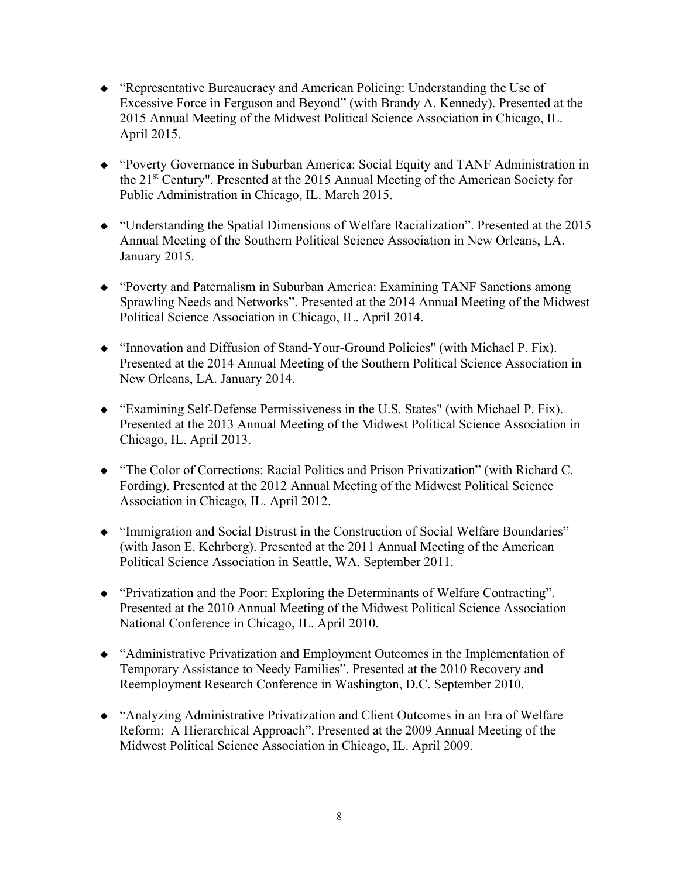- "Representative Bureaucracy and American Policing: Understanding the Use of Excessive Force in Ferguson and Beyond" (with Brandy A. Kennedy). Presented at the 2015 Annual Meeting of the Midwest Political Science Association in Chicago, IL. April 2015.
- "Poverty Governance in Suburban America: Social Equity and TANF Administration in the 21st Century". Presented at the 2015 Annual Meeting of the American Society for Public Administration in Chicago, IL. March 2015.
- "Understanding the Spatial Dimensions of Welfare Racialization". Presented at the 2015 Annual Meeting of the Southern Political Science Association in New Orleans, LA. January 2015.
- "Poverty and Paternalism in Suburban America: Examining TANF Sanctions among Sprawling Needs and Networks". Presented at the 2014 Annual Meeting of the Midwest Political Science Association in Chicago, IL. April 2014.
- "Innovation and Diffusion of Stand-Your-Ground Policies" (with Michael P. Fix). Presented at the 2014 Annual Meeting of the Southern Political Science Association in New Orleans, LA. January 2014.
- "Examining Self-Defense Permissiveness in the U.S. States" (with Michael P. Fix). Presented at the 2013 Annual Meeting of the Midwest Political Science Association in Chicago, IL. April 2013.
- "The Color of Corrections: Racial Politics and Prison Privatization" (with Richard C. Fording). Presented at the 2012 Annual Meeting of the Midwest Political Science Association in Chicago, IL. April 2012.
- "Immigration and Social Distrust in the Construction of Social Welfare Boundaries" (with Jason E. Kehrberg). Presented at the 2011 Annual Meeting of the American Political Science Association in Seattle, WA. September 2011.
- "Privatization and the Poor: Exploring the Determinants of Welfare Contracting". Presented at the 2010 Annual Meeting of the Midwest Political Science Association National Conference in Chicago, IL. April 2010.
- "Administrative Privatization and Employment Outcomes in the Implementation of Temporary Assistance to Needy Families". Presented at the 2010 Recovery and Reemployment Research Conference in Washington, D.C. September 2010.
- "Analyzing Administrative Privatization and Client Outcomes in an Era of Welfare Reform: A Hierarchical Approach". Presented at the 2009 Annual Meeting of the Midwest Political Science Association in Chicago, IL. April 2009.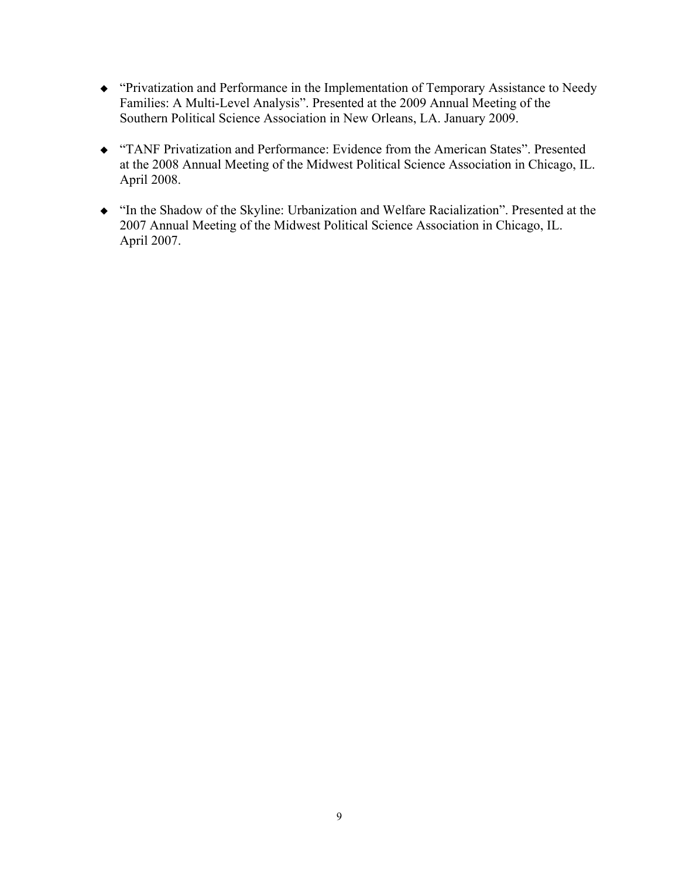- "Privatization and Performance in the Implementation of Temporary Assistance to Needy Families: A Multi-Level Analysis". Presented at the 2009 Annual Meeting of the Southern Political Science Association in New Orleans, LA. January 2009.
- "TANF Privatization and Performance: Evidence from the American States". Presented at the 2008 Annual Meeting of the Midwest Political Science Association in Chicago, IL. April 2008.
- "In the Shadow of the Skyline: Urbanization and Welfare Racialization". Presented at the 2007 Annual Meeting of the Midwest Political Science Association in Chicago, IL. April 2007.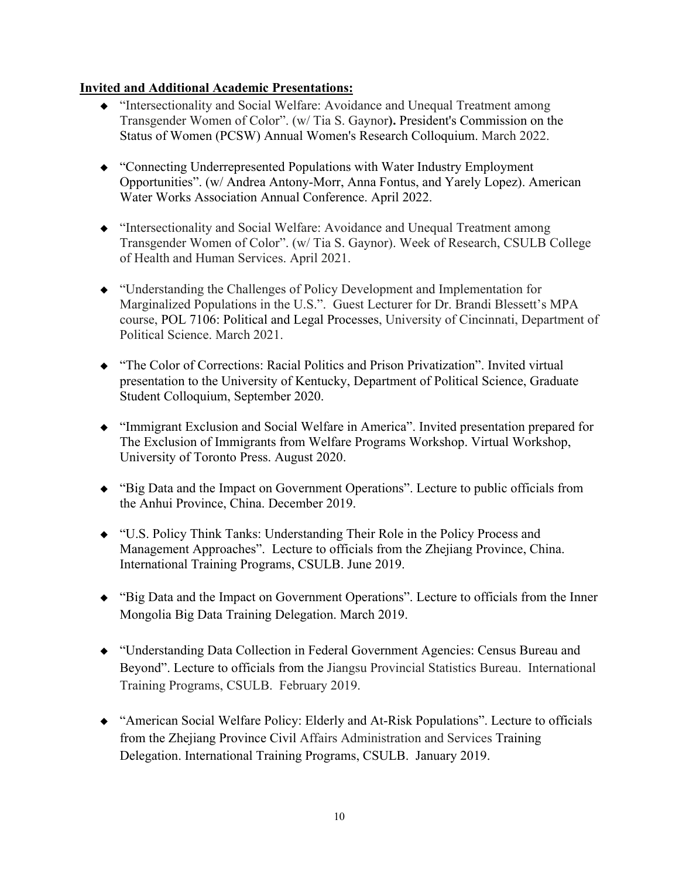#### **Invited and Additional Academic Presentations:**

- "Intersectionality and Social Welfare: Avoidance and Unequal Treatment among Transgender Women of Color". (w/ Tia S. Gaynor**).** President's Commission on the Status of Women (PCSW) Annual Women's Research Colloquium. March 2022.
- "Connecting Underrepresented Populations with Water Industry Employment Opportunities". (w/ Andrea Antony-Morr, Anna Fontus, and Yarely Lopez). American Water Works Association Annual Conference. April 2022.
- "Intersectionality and Social Welfare: Avoidance and Unequal Treatment among Transgender Women of Color". (w/ Tia S. Gaynor). Week of Research, CSULB College of Health and Human Services. April 2021.
- "Understanding the Challenges of Policy Development and Implementation for Marginalized Populations in the U.S.". Guest Lecturer for Dr. Brandi Blessett's MPA course, POL 7106: Political and Legal Processes, University of Cincinnati, Department of Political Science. March 2021.
- "The Color of Corrections: Racial Politics and Prison Privatization". Invited virtual presentation to the University of Kentucky, Department of Political Science, Graduate Student Colloquium, September 2020.
- "Immigrant Exclusion and Social Welfare in America". Invited presentation prepared for The Exclusion of Immigrants from Welfare Programs Workshop. Virtual Workshop, University of Toronto Press. August 2020.
- "Big Data and the Impact on Government Operations". Lecture to public officials from the Anhui Province, China. December 2019.
- "U.S. Policy Think Tanks: Understanding Their Role in the Policy Process and Management Approaches". Lecture to officials from the Zhejiang Province, China. International Training Programs, CSULB. June 2019.
- "Big Data and the Impact on Government Operations". Lecture to officials from the Inner Mongolia Big Data Training Delegation. March 2019.
- "Understanding Data Collection in Federal Government Agencies: Census Bureau and Beyond". Lecture to officials from the Jiangsu Provincial Statistics Bureau. International Training Programs, CSULB. February 2019.
- "American Social Welfare Policy: Elderly and At-Risk Populations". Lecture to officials from the Zhejiang Province Civil Affairs Administration and Services Training Delegation. International Training Programs, CSULB. January 2019.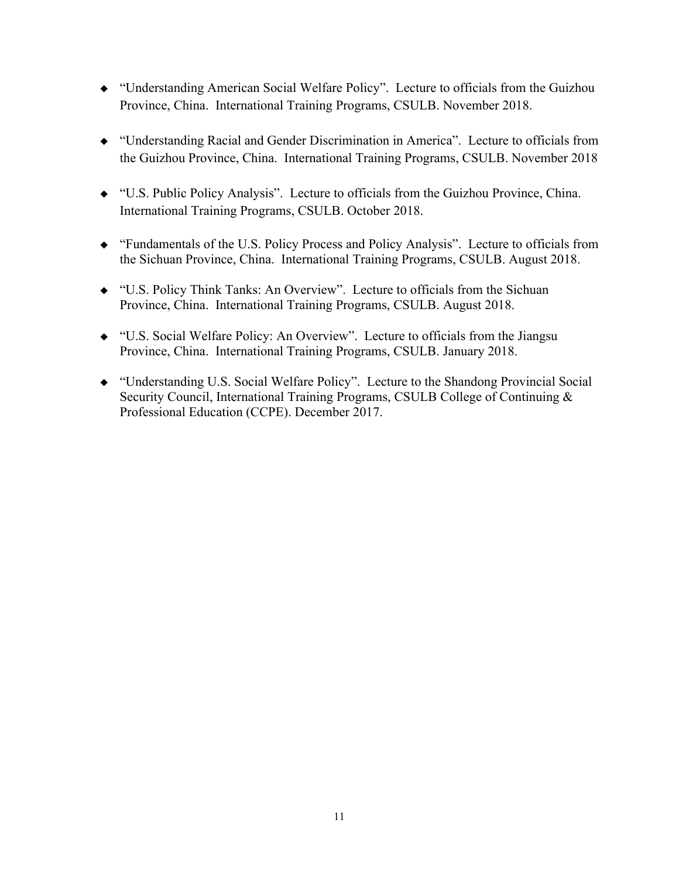- "Understanding American Social Welfare Policy". Lecture to officials from the Guizhou Province, China. International Training Programs, CSULB. November 2018.
- "Understanding Racial and Gender Discrimination in America". Lecture to officials from the Guizhou Province, China. International Training Programs, CSULB. November 2018
- "U.S. Public Policy Analysis". Lecture to officials from the Guizhou Province, China. International Training Programs, CSULB. October 2018.
- "Fundamentals of the U.S. Policy Process and Policy Analysis". Lecture to officials from the Sichuan Province, China. International Training Programs, CSULB. August 2018.
- "U.S. Policy Think Tanks: An Overview". Lecture to officials from the Sichuan Province, China. International Training Programs, CSULB. August 2018.
- "U.S. Social Welfare Policy: An Overview". Lecture to officials from the Jiangsu Province, China. International Training Programs, CSULB. January 2018.
- "Understanding U.S. Social Welfare Policy". Lecture to the Shandong Provincial Social Security Council, International Training Programs, CSULB College of Continuing & Professional Education (CCPE). December 2017.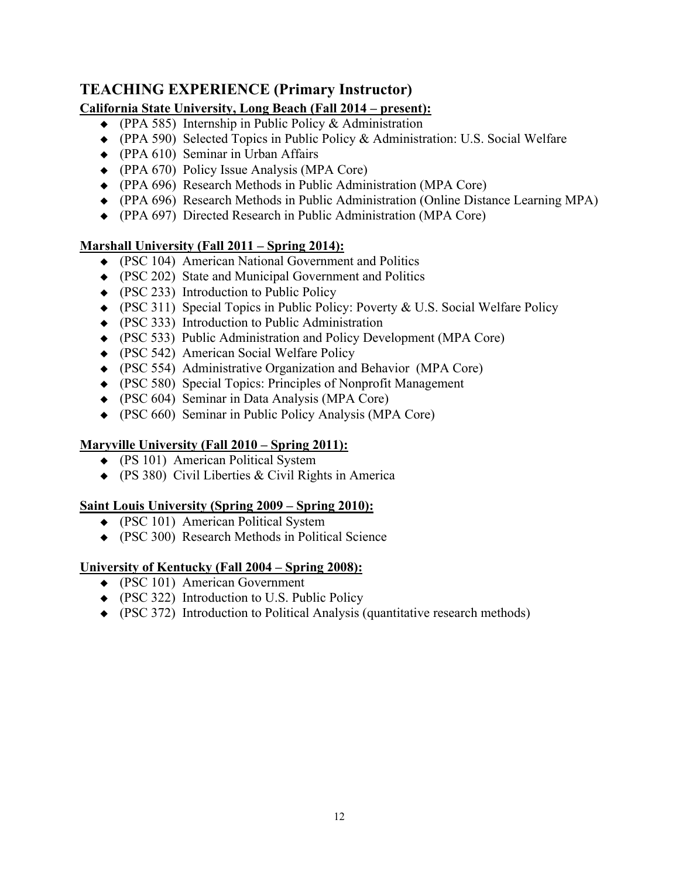## **TEACHING EXPERIENCE (Primary Instructor)**

### **California State University, Long Beach (Fall 2014 – present):**

- (PPA 585) Internship in Public Policy & Administration
- (PPA 590) Selected Topics in Public Policy & Administration: U.S. Social Welfare
- (PPA 610) Seminar in Urban Affairs
- (PPA 670) Policy Issue Analysis (MPA Core)
- (PPA 696) Research Methods in Public Administration (MPA Core)
- (PPA 696) Research Methods in Public Administration (Online Distance Learning MPA)
- (PPA 697) Directed Research in Public Administration (MPA Core)

#### **Marshall University (Fall 2011 – Spring 2014):**

- (PSC 104) American National Government and Politics
- (PSC 202) State and Municipal Government and Politics
- (PSC 233) Introduction to Public Policy
- (PSC 311) Special Topics in Public Policy: Poverty & U.S. Social Welfare Policy
- (PSC 333) Introduction to Public Administration
- (PSC 533) Public Administration and Policy Development (MPA Core)
- (PSC 542) American Social Welfare Policy
- (PSC 554) Administrative Organization and Behavior (MPA Core)
- (PSC 580) Special Topics: Principles of Nonprofit Management
- (PSC 604) Seminar in Data Analysis (MPA Core)
- (PSC 660) Seminar in Public Policy Analysis (MPA Core)

### **Maryville University (Fall 2010 – Spring 2011):**

- (PS 101) American Political System
- (PS 380) Civil Liberties & Civil Rights in America

### **Saint Louis University (Spring 2009 – Spring 2010):**

- (PSC 101) American Political System
- (PSC 300) Research Methods in Political Science

### **University of Kentucky (Fall 2004 – Spring 2008):**

- (PSC 101) American Government
- (PSC 322) Introduction to U.S. Public Policy
- (PSC 372) Introduction to Political Analysis (quantitative research methods)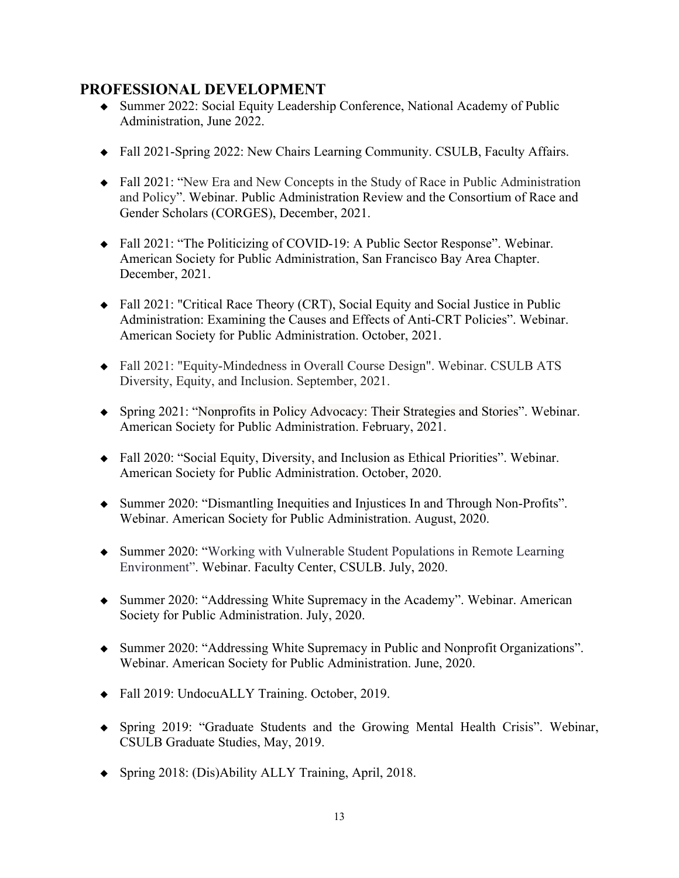### **PROFESSIONAL DEVELOPMENT**

- Summer 2022: Social Equity Leadership Conference, National Academy of Public Administration, June 2022.
- Fall 2021-Spring 2022: New Chairs Learning Community. CSULB, Faculty Affairs.
- Fall 2021: "New Era and New Concepts in the Study of Race in Public Administration and Policy". Webinar. Public Administration Review and the Consortium of Race and Gender Scholars (CORGES), December, 2021.
- Fall 2021: "The Politicizing of COVID-19: A Public Sector Response". Webinar. American Society for Public Administration, San Francisco Bay Area Chapter. December, 2021.
- Fall 2021: "Critical Race Theory (CRT), Social Equity and Social Justice in Public Administration: Examining the Causes and Effects of Anti-CRT Policies". Webinar. American Society for Public Administration. October, 2021.
- Fall 2021: "Equity-Mindedness in Overall Course Design". Webinar. CSULB ATS Diversity, Equity, and Inclusion. September, 2021.
- Spring 2021: "Nonprofits in Policy Advocacy: Their Strategies and Stories". Webinar. American Society for Public Administration. February, 2021.
- Fall 2020: "Social Equity, Diversity, and Inclusion as Ethical Priorities". Webinar. American Society for Public Administration. October, 2020.
- Summer 2020: "Dismantling Inequities and Injustices In and Through Non-Profits". Webinar. American Society for Public Administration. August, 2020.
- Summer 2020: "Working with Vulnerable Student Populations in Remote Learning Environment". Webinar. Faculty Center, CSULB. July, 2020.
- Summer 2020: "Addressing White Supremacy in the Academy". Webinar. American Society for Public Administration. July, 2020.
- Summer 2020: "Addressing White Supremacy in Public and Nonprofit Organizations". Webinar. American Society for Public Administration. June, 2020.
- ◆ Fall 2019: UndocuALLY Training. October, 2019.
- Spring 2019: "Graduate Students and the Growing Mental Health Crisis". Webinar, CSULB Graduate Studies, May, 2019.
- Spring 2018: (Dis)Ability ALLY Training, April, 2018.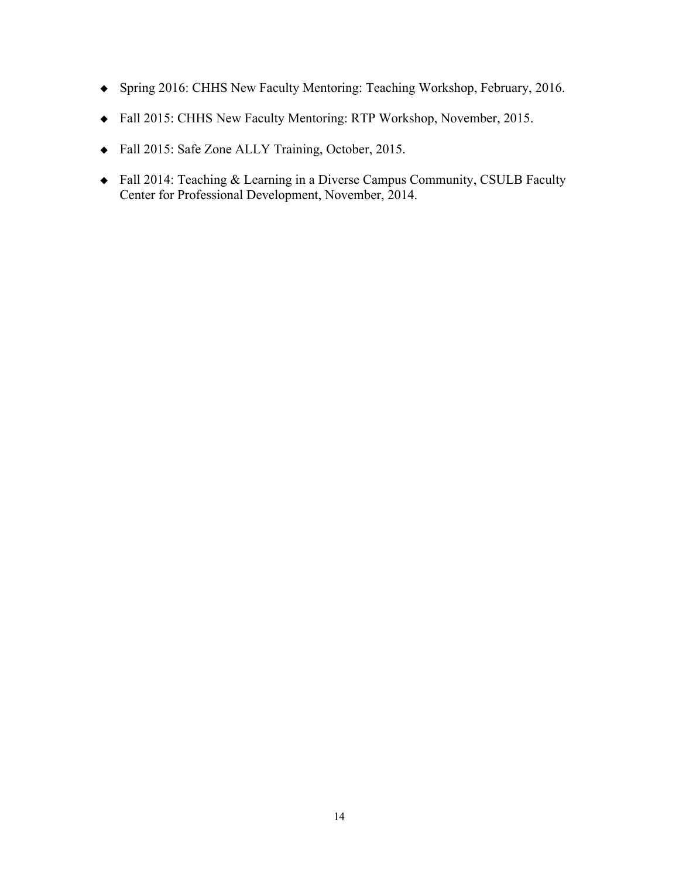- Spring 2016: CHHS New Faculty Mentoring: Teaching Workshop, February, 2016.
- Fall 2015: CHHS New Faculty Mentoring: RTP Workshop, November, 2015.
- Fall 2015: Safe Zone ALLY Training, October, 2015.
- Fall 2014: Teaching & Learning in a Diverse Campus Community, CSULB Faculty Center for Professional Development, November, 2014.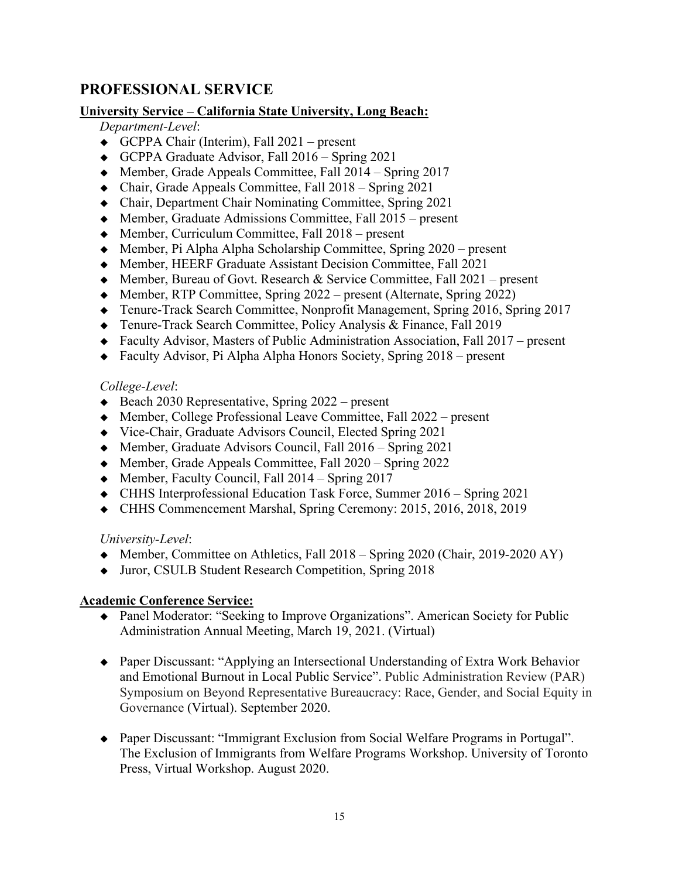## **PROFESSIONAL SERVICE**

#### **University Service – California State University, Long Beach:**

### *Department-Level*:

- GCPPA Chair (Interim), Fall 2021 present
- GCPPA Graduate Advisor, Fall 2016 Spring 2021
- Member, Grade Appeals Committee, Fall 2014 Spring 2017
- Chair, Grade Appeals Committee, Fall 2018 Spring 2021
- Chair, Department Chair Nominating Committee, Spring 2021
- Member, Graduate Admissions Committee, Fall 2015 present
- $\triangleleft$  Member, Curriculum Committee, Fall 2018 present
- Member, Pi Alpha Alpha Scholarship Committee, Spring 2020 present
- Member, HEERF Graduate Assistant Decision Committee, Fall 2021
- ◆ Member, Bureau of Govt. Research & Service Committee, Fall 2021 present
- $\blacklozenge$  Member, RTP Committee, Spring 2022 present (Alternate, Spring 2022)
- Tenure-Track Search Committee, Nonprofit Management, Spring 2016, Spring 2017
- Tenure-Track Search Committee, Policy Analysis & Finance, Fall 2019
- Faculty Advisor, Masters of Public Administration Association, Fall 2017 present
- Faculty Advisor, Pi Alpha Alpha Honors Society, Spring 2018 present

#### *College-Level*:

- $\triangleleft$  Beach 2030 Representative, Spring 2022 present
- Member, College Professional Leave Committee, Fall 2022 present
- Vice-Chair, Graduate Advisors Council, Elected Spring 2021
- Member, Graduate Advisors Council, Fall 2016 Spring 2021
- $\blacklozenge$  Member, Grade Appeals Committee, Fall 2020 Spring 2022
- $\blacklozenge$  Member, Faculty Council, Fall 2014 Spring 2017
- CHHS Interprofessional Education Task Force, Summer 2016 Spring 2021
- CHHS Commencement Marshal, Spring Ceremony: 2015, 2016, 2018, 2019

#### *University-Level*:

- Member, Committee on Athletics, Fall 2018 Spring 2020 (Chair, 2019-2020 AY)
- ◆ Juror, CSULB Student Research Competition, Spring 2018

### **Academic Conference Service:**

- Panel Moderator: "Seeking to Improve Organizations". American Society for Public Administration Annual Meeting, March 19, 2021. (Virtual)
- Paper Discussant: "Applying an Intersectional Understanding of Extra Work Behavior and Emotional Burnout in Local Public Service". Public Administration Review (PAR) Symposium on Beyond Representative Bureaucracy: Race, Gender, and Social Equity in Governance (Virtual). September 2020.
- Paper Discussant: "Immigrant Exclusion from Social Welfare Programs in Portugal". The Exclusion of Immigrants from Welfare Programs Workshop. University of Toronto Press, Virtual Workshop. August 2020.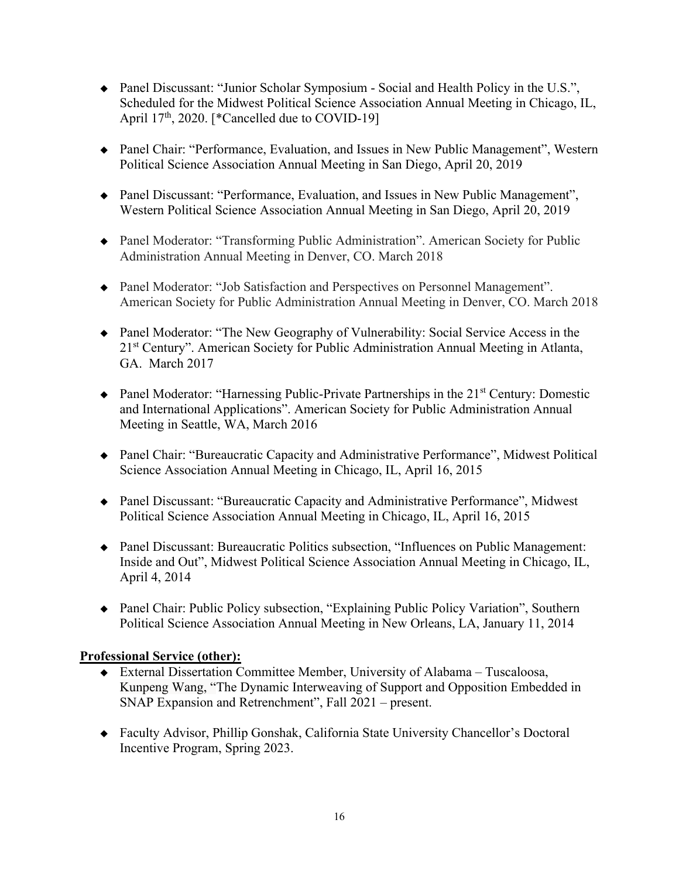- Panel Discussant: "Junior Scholar Symposium Social and Health Policy in the U.S.", Scheduled for the Midwest Political Science Association Annual Meeting in Chicago, IL, April  $17<sup>th</sup>$ , 2020. [\*Cancelled due to COVID-19]
- Panel Chair: "Performance, Evaluation, and Issues in New Public Management", Western Political Science Association Annual Meeting in San Diego, April 20, 2019
- Panel Discussant: "Performance, Evaluation, and Issues in New Public Management", Western Political Science Association Annual Meeting in San Diego, April 20, 2019
- Panel Moderator: "Transforming Public Administration". American Society for Public Administration Annual Meeting in Denver, CO. March 2018
- Panel Moderator: "Job Satisfaction and Perspectives on Personnel Management". American Society for Public Administration Annual Meeting in Denver, CO. March 2018
- Panel Moderator: "The New Geography of Vulnerability: Social Service Access in the 21st Century". American Society for Public Administration Annual Meeting in Atlanta, GA. March 2017
- $\triangle$  Panel Moderator: "Harnessing Public-Private Partnerships in the 21<sup>st</sup> Century: Domestic and International Applications". American Society for Public Administration Annual Meeting in Seattle, WA, March 2016
- Panel Chair: "Bureaucratic Capacity and Administrative Performance", Midwest Political Science Association Annual Meeting in Chicago, IL, April 16, 2015
- Panel Discussant: "Bureaucratic Capacity and Administrative Performance", Midwest Political Science Association Annual Meeting in Chicago, IL, April 16, 2015
- Panel Discussant: Bureaucratic Politics subsection, "Influences on Public Management: Inside and Out", Midwest Political Science Association Annual Meeting in Chicago, IL, April 4, 2014
- Panel Chair: Public Policy subsection, "Explaining Public Policy Variation", Southern Political Science Association Annual Meeting in New Orleans, LA, January 11, 2014

#### **Professional Service (other):**

- External Dissertation Committee Member, University of Alabama Tuscaloosa, Kunpeng Wang, "The Dynamic Interweaving of Support and Opposition Embedded in SNAP Expansion and Retrenchment", Fall 2021 – present.
- Faculty Advisor, Phillip Gonshak, California State University Chancellor's Doctoral Incentive Program, Spring 2023.